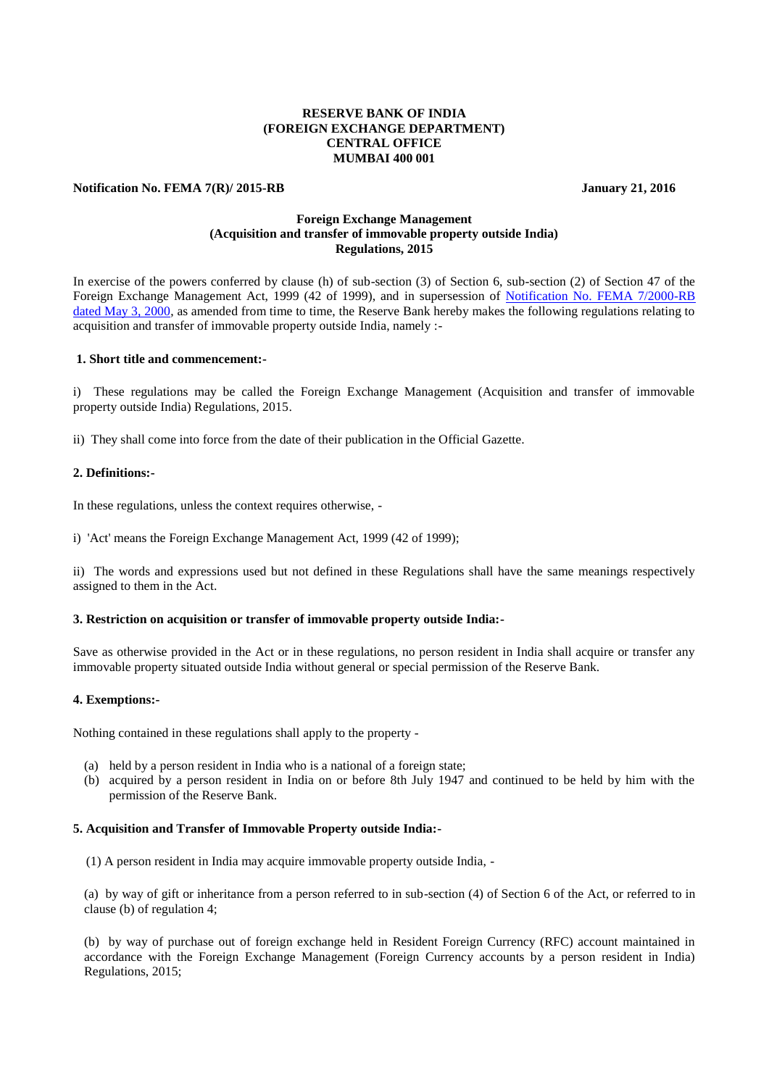# **RESERVE BANK OF INDIA (FOREIGN EXCHANGE DEPARTMENT) CENTRAL OFFICE MUMBAI 400 001**

#### **Notification No. FEMA 7(R)/ 2015-RB** January 21, 2016

# **Foreign Exchange Management (Acquisition and transfer of immovable property outside India) Regulations, 2015**

In exercise of the powers conferred by clause (h) of sub-section (3) of Section 6, sub-section (2) of Section 47 of the Foreign Exchange Management Act, 1999 (42 of 1999), and in supersession of [Notification No. FEMA 7/2000-RB](https://www.rbi.org.in/Scripts/BS_FemaNotifications.aspx?Id=161)  [dated May 3, 2000,](https://www.rbi.org.in/Scripts/BS_FemaNotifications.aspx?Id=161) as amended from time to time, the Reserve Bank hereby makes the following regulations relating to acquisition and transfer of immovable property outside India, namely :-

# **1. Short title and commencement:-**

i) These regulations may be called the Foreign Exchange Management (Acquisition and transfer of immovable property outside India) Regulations, 2015.

ii) They shall come into force from the date of their publication in the Official Gazette.

# **2. Definitions:-**

In these regulations, unless the context requires otherwise, -

i) 'Act' means the Foreign Exchange Management Act, 1999 (42 of 1999);

ii) The words and expressions used but not defined in these Regulations shall have the same meanings respectively assigned to them in the Act.

#### **3. Restriction on acquisition or transfer of immovable property outside India:-**

Save as otherwise provided in the Act or in these regulations, no person resident in India shall acquire or transfer any immovable property situated outside India without general or special permission of the Reserve Bank.

### **4. Exemptions:-**

Nothing contained in these regulations shall apply to the property -

- (a) held by a person resident in India who is a national of a foreign state;
- (b) acquired by a person resident in India on or before 8th July 1947 and continued to be held by him with the permission of the Reserve Bank.

# **5. Acquisition and Transfer of Immovable Property outside India:-**

(1) A person resident in India may acquire immovable property outside India, -

(a) by way of gift or inheritance from a person referred to in sub-section (4) of Section 6 of the Act, or referred to in clause (b) of regulation 4;

(b) by way of purchase out of foreign exchange held in Resident Foreign Currency (RFC) account maintained in accordance with the Foreign Exchange Management (Foreign Currency accounts by a person resident in India) Regulations, 2015;